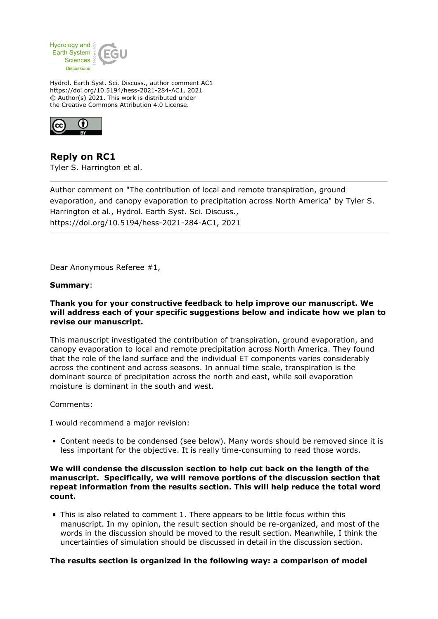

Hydrol. Earth Syst. Sci. Discuss., author comment AC1 https://doi.org/10.5194/hess-2021-284-AC1, 2021 © Author(s) 2021. This work is distributed under the Creative Commons Attribution 4.0 License.



**Reply on RC1** Tyler S. Harrington et al.

Author comment on "The contribution of local and remote transpiration, ground evaporation, and canopy evaporation to precipitation across North America" by Tyler S. Harrington et al., Hydrol. Earth Syst. Sci. Discuss., https://doi.org/10.5194/hess-2021-284-AC1, 2021

Dear Anonymous Referee #1,

#### **Summary**:

## **Thank you for your constructive feedback to help improve our manuscript. We will address each of your specific suggestions below and indicate how we plan to revise our manuscript.**

This manuscript investigated the contribution of transpiration, ground evaporation, and canopy evaporation to local and remote precipitation across North America. They found that the role of the land surface and the individual ET components varies considerably across the continent and across seasons. In annual time scale, transpiration is the dominant source of precipitation across the north and east, while soil evaporation moisture is dominant in the south and west.

Comments:

I would recommend a major revision:

Content needs to be condensed (see below). Many words should be removed since it is less important for the objective. It is really time-consuming to read those words.

#### **We will condense the discussion section to help cut back on the length of the manuscript. Specifically, we will remove portions of the discussion section that repeat information from the results section. This will help reduce the total word count.**

This is also related to comment 1. There appears to be little focus within this manuscript. In my opinion, the result section should be re-organized, and most of the words in the discussion should be moved to the result section. Meanwhile, I think the uncertainties of simulation should be discussed in detail in the discussion section.

#### **The results section is organized in the following way: a comparison of model**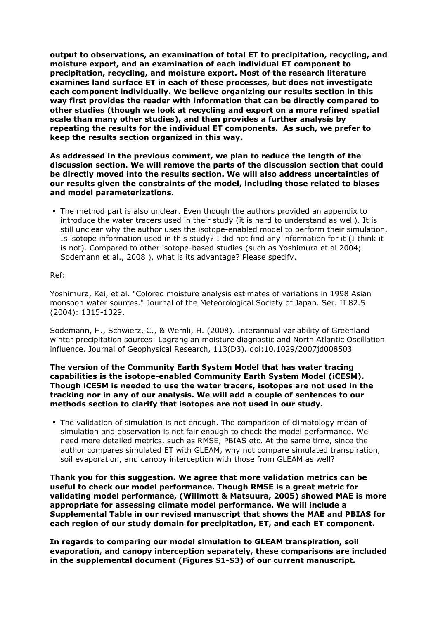**output to observations, an examination of total ET to precipitation, recycling, and moisture export, and an examination of each individual ET component to precipitation, recycling, and moisture export. Most of the research literature examines land surface ET in each of these processes, but does not investigate each component individually. We believe organizing our results section in this way first provides the reader with information that can be directly compared to other studies (though we look at recycling and export on a more refined spatial scale than many other studies), and then provides a further analysis by repeating the results for the individual ET components. As such, we prefer to keep the results section organized in this way.** 

**As addressed in the previous comment, we plan to reduce the length of the discussion section. We will remove the parts of the discussion section that could be directly moved into the results section. We will also address uncertainties of our results given the constraints of the model, including those related to biases and model parameterizations.**

The method part is also unclear. Even though the authors provided an appendix to introduce the water tracers used in their study (it is hard to understand as well). It is still unclear why the author uses the isotope-enabled model to perform their simulation. Is isotope information used in this study? I did not find any information for it (I think it is not). Compared to other isotope-based studies (such as Yoshimura et al 2004; Sodemann et al., 2008 ), what is its advantage? Please specify.

## Ref:

Yoshimura, Kei, et al. "Colored moisture analysis estimates of variations in 1998 Asian monsoon water sources." Journal of the Meteorological Society of Japan. Ser. II 82.5 (2004): 1315-1329.

Sodemann, H., Schwierz, C., & Wernli, H. (2008). Interannual variability of Greenland winter precipitation sources: Lagrangian moisture diagnostic and North Atlantic Oscillation influence. Journal of Geophysical Research, 113(D3). doi:10.1029/2007jd008503

### **The version of the Community Earth System Model that has water tracing capabilities is the isotope-enabled Community Earth System Model (iCESM). Though iCESM is needed to use the water tracers, isotopes are not used in the tracking nor in any of our analysis. We will add a couple of sentences to our methods section to clarify that isotopes are not used in our study.**

The validation of simulation is not enough. The comparison of climatology mean of simulation and observation is not fair enough to check the model performance. We need more detailed metrics, such as RMSE, PBIAS etc. At the same time, since the author compares simulated ET with GLEAM, why not compare simulated transpiration, soil evaporation, and canopy interception with those from GLEAM as well?

**Thank you for this suggestion. We agree that more validation metrics can be useful to check our model performance. Though RMSE is a great metric for validating model performance, (Willmott & Matsuura, 2005) showed MAE is more appropriate for assessing climate model performance. We will include a Supplemental Table in our revised manuscript that shows the MAE and PBIAS for each region of our study domain for precipitation, ET, and each ET component.** 

**In regards to comparing our model simulation to GLEAM transpiration, soil evaporation, and canopy interception separately, these comparisons are included in the supplemental document (Figures S1-S3) of our current manuscript.**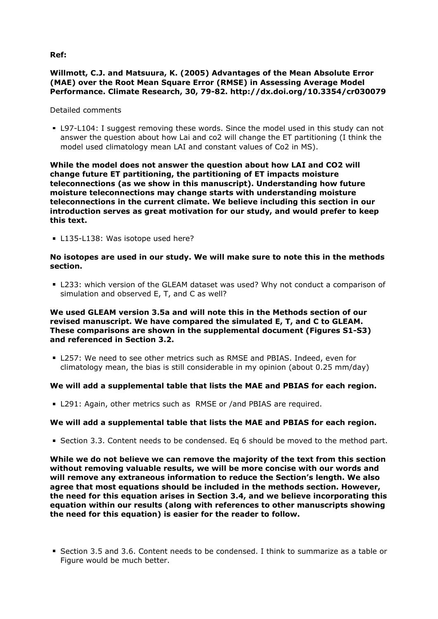**Ref:**

# **Willmott, C.J. and Matsuura, K. (2005) Advantages of the Mean Absolute Error (MAE) over the Root Mean Square Error (RMSE) in Assessing Average Model Performance. Climate Research, 30, 79-82. http://dx.doi.org/10.3354/cr030079**

### Detailed comments

L97-L104: I suggest removing these words. Since the model used in this study can not answer the question about how Lai and co2 will change the ET partitioning (I think the model used climatology mean LAI and constant values of Co2 in MS).

**While the model does not answer the question about how LAI and CO2 will change future ET partitioning, the partitioning of ET impacts moisture teleconnections (as we show in this manuscript). Understanding how future moisture teleconnections may change starts with understanding moisture teleconnections in the current climate. We believe including this section in our introduction serves as great motivation for our study, and would prefer to keep this text.** 

L135-L138: Was isotope used here?

## **No isotopes are used in our study. We will make sure to note this in the methods section.**

L233: which version of the GLEAM dataset was used? Why not conduct a comparison of simulation and observed E, T, and C as well?

## **We used GLEAM version 3.5a and will note this in the Methods section of our revised manuscript. We have compared the simulated E, T, and C to GLEAM. These comparisons are shown in the supplemental document (Figures S1-S3) and referenced in Section 3.2.**

L257: We need to see other metrics such as RMSE and PBIAS. Indeed, even for climatology mean, the bias is still considerable in my opinion (about 0.25 mm/day)

# **We will add a supplemental table that lists the MAE and PBIAS for each region.**

L291: Again, other metrics such as RMSE or /and PBIAS are required.

# **We will add a supplemental table that lists the MAE and PBIAS for each region.**

Section 3.3. Content needs to be condensed. Eq 6 should be moved to the method part.

**While we do not believe we can remove the majority of the text from this section without removing valuable results, we will be more concise with our words and will remove any extraneous information to reduce the Section's length. We also agree that most equations should be included in the methods section. However, the need for this equation arises in Section 3.4, and we believe incorporating this equation within our results (along with references to other manuscripts showing the need for this equation) is easier for the reader to follow.** 

Section 3.5 and 3.6. Content needs to be condensed. I think to summarize as a table or Figure would be much better.